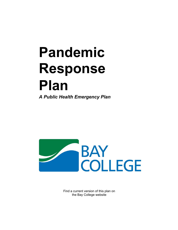# **Pandemic Response Plan**

*A Public Health Emergency Plan*



Find a current version of this plan on the Bay College website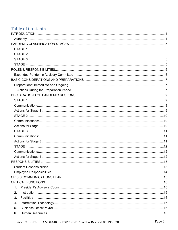# **Table of Contents**

| <b>RESPONSIBILITIES</b> | 13 |
|-------------------------|----|
|                         |    |
|                         |    |
|                         |    |
|                         |    |
| 1.                      |    |
| 2.                      |    |
| 3.                      |    |
| 4.                      |    |
| 5.                      |    |
| 6.                      |    |

BAY COLLEGE PANDEMIC RESPONSE PLAN -- Revised 05/19/2020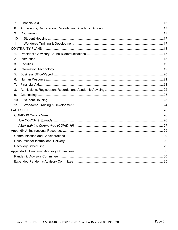| 10. |  |
|-----|--|
| 11. |  |
|     |  |
|     |  |
|     |  |
|     |  |
|     |  |
|     |  |
|     |  |
|     |  |
|     |  |
|     |  |
| 10. |  |
| 11. |  |
|     |  |
|     |  |
|     |  |
|     |  |
|     |  |
|     |  |
|     |  |
|     |  |
|     |  |
|     |  |
|     |  |
|     |  |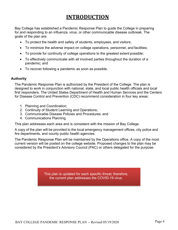# <span id="page-3-0"></span>**INTRODUCTION**

Bay College has established a Pandemic Response Plan to guide the College in preparing for and responding to an influenza, virus, or other communicable disease outbreak. The goals of the plan are:

- To protect the health and safety of students, employees, and visitors;
- To minimize the adverse impact on college operations, personnel, and facilities;
- To provide for continuity of college operations to the greatest extent possible;
- To effectively communicate with all involved parties throughout the duration of a pandemic; and
- To recover following a pandemic as soon as possible.

## <span id="page-3-1"></span>**Authority**

The Pandemic Response Plan is authorized by the President of the College. The plan is designed to work in conjunction with national, state, and local public health officials and local first responders. The United States Department of Health and Human Services and the Centers for Disease Control and Prevention (CDC) recommend consideration in four key areas:

- 1. Planning and Coordination;
- 2. Continuity of Student Learning and Operations;
- 3. Communicable Disease Policies and Procedures; and
- 4. Communications Planning.

This plan addresses each area and is consistent with the mission of Bay College.

A copy of the plan will be provided to the local emergency management offices, city police and fire departments, and county public health agencies.

The Pandemic Response Plan will be maintained by the Operations office. A copy of the most current version will be posted on the college website. Proposed changes to the plan may be considered by the President's Advisory Council (PAC) or others delegated for the purpose.

> This plan is updated for each specific threat; therefore, the current plan addresses the COVID-19 virus.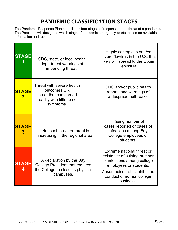# **PANDEMIC CLASSIFICATION STAGES**

<span id="page-4-0"></span>The Pandemic Response Plan establishes four stages of response to the threat of a pandemic. The President will designate which stage of pandemic emergency exists, based on available information and reports.

<span id="page-4-4"></span><span id="page-4-3"></span><span id="page-4-2"></span><span id="page-4-1"></span>

| <b>STAGE</b>                            | CDC, state, or local health<br>department warnings of<br>impending threat.                                           | Highly contagious and/or<br>severe flu/virus in the U.S. that<br>likely will spread to the Upper<br>Peninsula.                                                                                 |
|-----------------------------------------|----------------------------------------------------------------------------------------------------------------------|------------------------------------------------------------------------------------------------------------------------------------------------------------------------------------------------|
| <b>STAGE</b><br>$\overline{\mathbf{2}}$ | Threat with severe health<br>outcomes OR<br>threat that can spread<br>readily with little to no<br>symptoms.         | CDC and/or public health<br>reports and warnings of<br>widespread outbreaks.                                                                                                                   |
| <b>STAGE</b><br>3                       | National threat or threat is<br>increasing in the regional area.                                                     | Rising number of<br>cases reported or cases of<br>infections among Bay<br>College employees or<br>students.                                                                                    |
| <b>STAGE</b>                            | A declaration by the Bay<br><b>College President that requires</b><br>the College to close its physical<br>campuses. | Extreme national threat or<br>existence of a rising number<br>of infections among college<br>employees or students.<br>Absenteeism rates inhibit the<br>conduct of normal college<br>business. |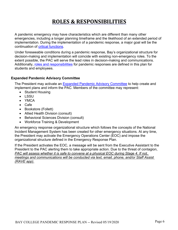# **ROLES & RESPONSIBILITIES**

<span id="page-5-0"></span>A pandemic emergency may have characteristics which are different than many other emergencies, including a longer planning timeframe and the likelihood of an extended period of implementation. During the implementation of a pandemic response, a major goal will be the continuation of [critical functions.](#page-15-0)

Under foreseeable conditions during a pandemic response, Bay's organizational structure for decision-making and implementation will coincide with existing non-emergency roles. To the extent possible, the PAC will serve the lead roles in decision-making and communications. Additionally, [roles and responsibilities](#page-12-0) for pandemic responses are defined in this plan for students and employees.

#### <span id="page-5-1"></span>**Expanded Pandemic Advisory Committee**

The President may activate an [Expanded Pandemic](#page-29-0) Advisory Committee to help create and implement plans and inform the PAC. Members of the committee may represent:

- Student Housing
- LSSU
- YMCA
- Cafe
- Bookstore (Follett)
- Allied Health Division (consult)
- Behavioral Sciences Division (consult)
- Workforce Training & Development

An emergency response organizational structure which follows the concepts of the National Incident Management System has been created for other emergency situations. At any time, the President may activate the Emergency Operations Center (EOC) and impose the organizational structure defined in the Emergency Response Plan.

If the President activates the EOC, a message will be sent from the Executive Assistant to the President to the PAC alerting them to take appropriate action. Due to the threat of contagion, *PAC will assess whether it is safe to convene at a physical EOC during Stage 4. If not, meetings and communications will be conducted via text, email, phone, and/or Staff Assist (RAVE app).*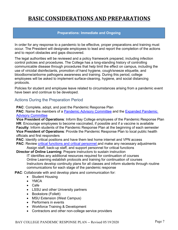# <span id="page-6-0"></span>**BASIC CONSIDERATIONS AND PREPARATIONS**

#### **Preparations: Immediate and Ongoing**

In order for any response to a pandemic to be effective, proper preparations and training must occur. The President will designate employees to lead and report the completion of the actions and to report obstacles and gaps discovered.

The legal authorities will be reviewed and a policy framework prepared, including infection control policies and procedures. The College has a long-standing history of controlling communicable disease through procedures that help limit the effect on campus, including the use of viricidal disinfectants, promotion of hand hygiene, cough/sneeze etiquette, and bloodborne/airborne pathogens awareness and training. During this period, college employees will be asked to implement surface-cleaning, hygiene, and social distancing protocols.

Policies for student and employee leave related to circumstances arising from a pandemic event have been and continue to be developed.

# <span id="page-6-1"></span>Actions During the Preparation Period

**PAC**: Complete, adopt, and post the Pandemic Response Plan

**PAC:** Name the members of a [Pandemic Advisory Committee](#page-29-1) and the Expanded Pandemic [Advisory Committee](#page-29-2)

**Vice President of Operations**: Inform Bay College employees of the Pandemic Response Plan **HR**: Encourage employees to become vaccinated, if possible and if a vaccine is available **Faculty**: Inform students of the Pandemic Response Plan at the beginning of each semester **Vice President of Operations**: Provide the Pandemic Response Plan to local public health officials and first responders

**PAC**: Identify critical positions and have them test home internet and VPN access

**PAC**: Review [critical functions and critical personnel](#page-15-0) and make any necessary adjustments Assign staff, back-up staff, and support personnel for critical functions

**Director of Online Learning**: Prepare instructors to sustain instruction

IT identifies any additional resources required for continuation of courses Online Learning establish protocols and training for continuation of courses Instructors develop continuity plans for all classes and inform students through routine communications for each stage of the pandemic response

**PAC**: Collaborate with and develop plans and communication for:

- Student Housing
- YMCA
- Cafe
- LSSU and other University partners
- Bookstore (Follett)
- MSU Extension (West Campus)
- Performers in events
- Workforce Training & Development
- Contractors and other non-college service providers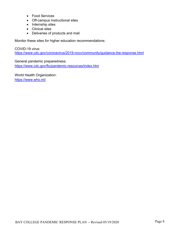- Food Services
- Off-campus Instructional sites
- Internship sites
- Clinical sites
- Deliveries of products and mail

Monitor these sites for higher education recommendations:

COVID-19 virus:

<https://www.cdc.gov/coronavirus/2019-ncov/community/guidance-ihe-response.html>

General pandemic preparedness: <https://www.cdc.gov/flu/pandemic-resources/index.htm>

World Health Organization: <https://www.who.int/>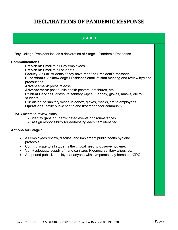# <span id="page-8-0"></span>**DECLARATIONS OF PANDEMIC RESPONSE**

# **STAGE 1**

Bay College President issues a declaration of Stage 1 Pandemic Response.

#### <span id="page-8-1"></span>**Communications:**

**President**: Email to all Bay employees **President**: Email to all students **Faculty**: Ask all students if they have read the President's message **Supervisors**: Acknowledge President's email at staff meeting and review hygiene precautions **Advancement**: press release **Advancement**: post public health posters, brochures, etc **Student Services**: distribute sanitary wipes, Kleenex, gloves, masks, etc to students **HR**: distribute sanitary wipes, Kleenex, gloves, masks, etc to employees **Operations**: notify public health and first responder community

#### **PAC** meets to review plans

- o identify gaps or unanticipated events or circumstances
- o assign responsibility for addressing each item identified

#### <span id="page-8-2"></span>**Actions for Stage 1**

- All employees review, discuss, and implement public health hygiene protocols.
- Communicate to all students the critical need to observe hygiene.
- Verify adequate supply of hand sanitizer, Kleenex, sanitary wipes, etc
- Adopt and publicize policy that anyone with symptoms stay home per CDC.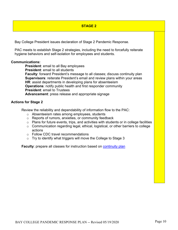# **STAGE 2**

Bay College President issues declaration of Stage 2 Pandemic Response.

PAC meets to establish Stage 2 strategies, including the need to forcefully reiterate hygiene behaviors and self-isolation for employees and students.

#### <span id="page-9-0"></span>**Communications:**

**President**: email to all Bay employees **President**: email to all students **Faculty**: forward President's message to all classes; discuss continuity plan **Supervisors**: reiterate President's email and review plans within your areas **HR**: assist departments in developing plans for absenteeism **Operations**: notify public health and first responder community **President**: email to Trustees **Advancement**: press release and appropriate signage

#### <span id="page-9-1"></span>**Actions for Stage 2**

Review the reliability and dependability of information flow to the PAC:

- o Absenteeism rates among employees, students
- o Reports of rumors, anxieties, or community feedback
- o Plans for future events, trips, and activities with students or in college facilities
- o Communication regarding legal, ethical, logistical, or other barriers to college actions
- o Follow CDC travel recommendations
- o Try to identify what triggers will move the College to Stage 3

**Faculty:** prepare all classes for instruction based on **continuity plan**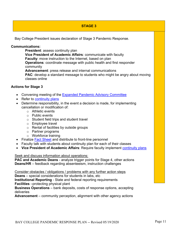# **STAGE 3**

Bay College President issues declaration of Stage 3 Pandemic Response.

#### <span id="page-10-0"></span>**Communications:**

**President**: assess continuity plan **Vice President of Academic Affairs**: communicate with faculty **Faculty**: move instruction to the Internet, based on plan **Operations**: coordinate message with public health and first responder community **Advancement**: press release and internal communications

**PAC**: develop a standard message to students who might be angry about moving classes online

## <span id="page-10-1"></span>**Actions for Stage 3**

- Convening meeting of the [Expanded Pandemic Advisory Committee](#page-5-1)
- Refer to [continuity plans](#page-17-0)
- Determine responsibility, in the event a decision is made, for implementing cancellation or modification of:
	- o Athletic events
	- o Public events
	- o Student field trips and student travel
	- o Employee travel
	- o Rental of facilities by outside groups
	- o Partner programs
	- o Workforce training
- Finalize [Fact Sheet](#page-25-0) and distribute to front-line personnel
- Faculty talk with students about continuity plan for each of their classes
- **Vice President of Academic Affairs**: Require faculty implement [continuity plans](#page-17-2)

#### Seek and discuss information about operations:

**PAC and Academic Deans** - analyze trigger points for Stage 4, other actions **Deans/HR** – feedback regarding absenteeism, instruction challenges

Consider obstacles / obligations / problems with any further action steps

**Deans** – special considerations for students in labs, etc

**Institutional Reporting** - State and federal reporting requirements

**Facilities** –protecting physical plant

**Business Operations** – bank deposits, costs of response options, accepting deliveries

**Advancement** – community perception, alignment with other agency actions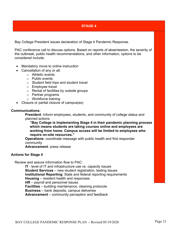# **STAGE 4**

Bay College President issues declaration of Stage 4 Pandemic Response.

PAC conference call to discuss options. Based on reports of absenteeism, the severity of the outbreak, public health recommendations, and other information, options to be considered include:

- Mandatory move to online instruction
- Cancellation of any or all:
	- o Athletic events
		- o Public events
		- o Student field trips and student travel
		- o Employee travel
		- o Rental of facilities by outside groups
		- o Partner programs
		- o Workforce training
- Closure or partial closure of campus(es)

#### <span id="page-11-0"></span>**Communications:**

**President**: Inform employees, students, and community of college status and planned actions

**"Bay College is implementing Stage 4 in their pandemic planning process which means students are taking courses online and employees are working from home. Campus access will be limited to employees who require on-site resources."**

**Operations**: coordinate message with public health and first responder community

**Advancement**: press release

#### <span id="page-11-1"></span>**Actions for Stage 4**

Review and assure information flow to PAC:

**IT** - level of IT and infrastructure use vs. capacity issues **Student Services** – new student registration, testing issues **Institutional Reporting**: State and federal reporting requirements **Housing** – resident health and responses **HR** – payroll and personnel issues **Facilities** – building maintenance, cleaning protocols **Business** – bank deposits, campus deliveries **Advancement** – community perception and feedback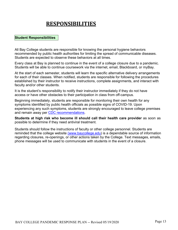# **RESPONSIBILITIES**

#### <span id="page-12-0"></span>**Student Responsibilities**

All Bay College students are responsible for knowing the personal hygiene behaviors recommended by public health authorities for limiting the spread of communicable diseases. Students are expected to observe these behaviors at all times.

Every class at Bay is planned to continue in the event of a college closure due to a pandemic. Students will be able to continue coursework via the internet, email, Blackboard, or myBay.

At the start of each semester, students will learn the specific alternative delivery arrangements for each of their classes. When notified, students are responsible for following the procedures established by their instructor to receive instructions, complete assignments, and interact with faculty and/or other students.

It is the student's responsibility to notify their instructor immediately if they do not have access or have other obstacles to their participation in class from off-campus.

Beginning immediately, students are responsible for monitoring their own health for any symptoms identified by public health officials as possible signs of COVID-19. Upon experiencing any such symptoms, students are strongly encouraged to leave college premises and remain away per [CDC recommendations.](#page-25-0)

**Students at high risk who become ill should call their health care provider** as soon as possible to determine if they need antiviral treatment.

Students should follow the instructions of faculty or other college personnel. Students are reminded that the college website [\(www.baycollege.edu\)](http://www.baycollege.edu/) is a dependable source of information regarding closures, re-openings, or other actions taken by the College. Text messages, emails, phone messages will be used to communicate with students in the event of a closure.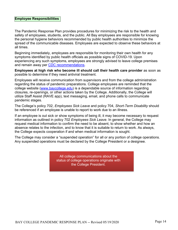#### **Employee Responsibilities**

The Pandemic Response Plan provides procedures for minimizing the risk to the health and safety of employees, students, and the public. All Bay employees are responsible for knowing the personal hygiene behaviors recommended by public health authorities to minimize the spread of the communicable diseases. Employees are expected to observe these behaviors at all times.

Beginning immediately, employees are responsible for monitoring their own health for any symptoms identified by public health officials as possible signs of COVID-19. Upon experiencing any such symptoms, employees are strongly advised to leave college premises and remain away per [CDC recommendations.](#page-25-0)

**Employees at high risk who become ill should call their health care provider** as soon as possible to determine if they need antiviral treatment.

Employees will receive communication from supervisors and from the college administration regarding the status of pandemic preparations. College employees are reminded that the college website (www.baycollege.edu) is a dependable source of information regarding closures, re-openings, or other actions taken by the College. Additionally, the College will utilize Staff Assist (RAVE app), text messaging, email, and phone calls to communicate pandemic stages.

The College's policy 702, *Employees Sick Leave* and policy 704, *Short-Term Disability* should be referenced if an employee is unable to report to work due to an illness.

If an employee is out sick or show symptoms of being ill, it may become necessary to request information as outlined in policy 702 *Employees Sick Leave*. In general, the College may request medical information to confirm the need to be absent, to show whether and how an absence relates to the infection, and to know that it is suitable to return to work. As always, the College expects cooperation if and when medical information is sought.

The College may consider a "suspended operation" for all or any portion of college operations. Any suspended operations must be declared by the College President or a designee.

> All college communications about the status of college operations originate with the College President.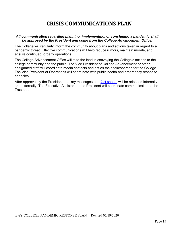# **CRISIS COMMUNICATIONS PLAN**

#### <span id="page-14-0"></span>*All communication regarding planning, implementing, or concluding a pandemic shall be approved by the President and come from the College Advancement Office.*

The College will regularly inform the community about plans and actions taken in regard to a pandemic threat. Effective communications will help reduce rumors, maintain morale, and ensure continued, orderly operations.

The College Advancement Office will take the lead in conveying the College's actions to the college community and the public. The Vice President of College Advancement or other designated staff will coordinate media contacts and act as the spokesperson for the College. The Vice President of Operations will coordinate with public health and emergency response agencies.

After approval by the President, the key messages and [fact sheets](#page-25-0) will be released internally and externally. The Executive Assistant to the President will coordinate communication to the Trustees.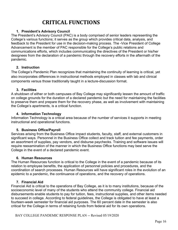# **CRITICAL FUNCTIONS**

#### <span id="page-15-0"></span>**1. President's Advisory Council**

<span id="page-15-1"></span>The President's Advisory Council (PAC) is a body comprised of senior leaders representing the College's various functions; it serves as the group which provides critical data, analysis, and feedback to the President for use in the decision-making process. The -Vice President of College Advancement is the member of PAC responsible for the College's public relations and communications efforts, which includes communicating the directives of the President or his/her designees from the declaration of a pandemic through the recovery efforts in the aftermath of the pandemic.

## **2. Instruction**

<span id="page-15-2"></span>The College's Pandemic Plan recognizes that maintaining the continuity of learning is critical, yet also incorporates differences in instructional methods employed in classes with lab and clinical components versus those traditionally taught in a lecture-discussion format.

## **3. Facilities**

<span id="page-15-3"></span>A shutdown of either or both campuses of Bay College may significantly lessen the amount of traffic on college grounds for the duration of a declared pandemic but the need for maintaining the facilities to preserve them and prepare them for the recovery phase, as well as involvement with maintaining the College's apartments, is a critical function.

## **4. Information Technology**

<span id="page-15-4"></span>Information Technology is a critical area because of the number of services it supports in meeting instructional and operational functions.

#### **5. Business Office/Payroll**

<span id="page-15-5"></span>Services arising from the Business Office impact students, faculty, staff, and external customers in significant ways. Personnel in the Business Office collect and track tuition and fee payments, order an assortment of supplies, pay vendors, and disburse paychecks. Training and software issues will require reexamination of the manner in which the Business Office functions may best serve the College in the event of a declared pandemic event.

#### **6. Human Resources**

<span id="page-15-6"></span>The Human Resources function is critical to the College in the event of a pandemic because of its relation to employee benefits, the application of personnel policies and procedures, and the coordination of search processes. Human Resources will have significant roles in the evolution of an epidemic to a pandemic, the continuance of operations, and the recovery of operations.

# **7. Financial Aid**

<span id="page-15-7"></span>Financial Aid is critical to the operations of Bay College, as it is to many institutions, because of the socioeconomic level of many of the students who attend the community college. Financial aid disbursements enable students to pay for tuition, fees, instructional supplies, and other items needed to succeed in college. According to federal guidelines, the College is obligated to have at least a fourteen-week semester for financial aid purposes. The 60 percent date in the semester is also critical for the College in terms of retaining funds from federal aid for its own operations.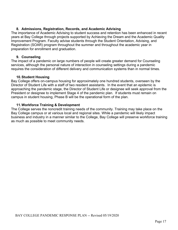## **8. Admissions, Registration, Records, and Academic Advising**

<span id="page-16-0"></span>The importance of Academic Advising to student success and retention has been enhanced in recent years at Bay College through projects supported by Achieving the Dream and the Academic Quality Improvement Program. Faculty advise students through the Student Orientation, Advising, and Registration (SOAR) program throughout the summer and throughout the academic year in preparation for enrollment and graduation.

#### **9. Counseling**

<span id="page-16-1"></span>The impact of a pandemic on large numbers of people will create greater demand for Counseling services, although the personal nature of interaction in counseling settings during a pandemic requires the consideration of different delivery and communication systems than in normal times.

#### **10.Student Housing**

<span id="page-16-2"></span>Bay College offers on-campus housing for approximately one hundred students, overseen by the Director of Student Life with a staff of two resident assistants. In the event that an epidemic is approaching the pandemic stage, the Director of Student Life or designee will seek approval from the President or designee to implement Stage 4 of the pandemic plan. If students must remain on campus in student housing, Phase B will be the operational form of the plan.

#### **11.Workforce Training & Development**

<span id="page-16-3"></span>The College serves the noncredit training needs of the community. Training may take place on the Bay College campus or at various local and regional sites. While a pandemic will likely impact business and industry in a manner similar to the College, Bay College will preserve workforce training as much as possible to meet community needs.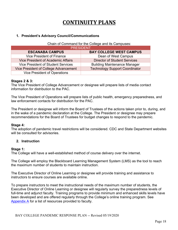# **CONTINUITY PLANS**

## <span id="page-17-1"></span><span id="page-17-0"></span>**1. President's Advisory Council/Communications**

Chain of Command for the College and its Campuses:

| <b>PRESIDENT</b>                          |                                       |  |
|-------------------------------------------|---------------------------------------|--|
| <b>ESCANABA CAMPUS</b>                    | <b>BAY COLLEGE WEST CAMPUS</b>        |  |
| <b>Vice President of Finance</b>          | Dean of West Campus                   |  |
| <b>Vice President of Academic Affairs</b> | <b>Director of Student Services</b>   |  |
| <b>Vice President of Student Services</b> | <b>Building Maintenance Manager</b>   |  |
| Vice President of College Advancement     | <b>Technology Support Coordinator</b> |  |
| <b>Vice President of Operations</b>       |                                       |  |

#### **Stages 2 & 3:**

The Vice President of College Advancement or designee will prepare lists of media contact information for distribution to the PAC.

The Vice President of Operations will prepare lists of public health, emergency preparedness, and law enforcement contacts for distribution for the PAC.

The President or designee will inform the Board of Trustees of the actions taken prior to, during, and in the wake of a pandemic declaration at the College. The President or designee may prepare recommendations for the Board of Trustees for budget changes to respond to the pandemic.

#### **Stage 4:**

The adoption of pandemic travel restrictions will be considered. CDC and State Department websites will be consulted for advisories.

# <span id="page-17-2"></span>**2. Instruction**

#### **Stage 1:**

The College will have a well-established method of course delivery over the internet.

The College will employ the Blackboard Learning Management System (LMS) as the tool to reach the maximum number of students to maintain instruction.

The Executive Director of Online Learning or designee will provide training and assistance to instructors to ensure courses are available online.

To prepare instructors to meet the instructional needs of the maximum number of students, the Executive Director of Online Learning or designee will regularly survey the preparedness levels of full-time and adjunct faculty. Training programs to provide minimum and enhanced skills levels have been developed and are offered regularly through the College's online training program. See [Appendix A](#page-28-0) for a list of resources provided to faculty.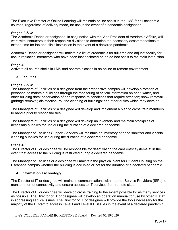The Executive Director of Online Learning will maintain online shells in the LMS for all academic courses, regardless of delivery mode, for use in the event of a pandemic designation.

## **Stages 2 & 3:**

The Academic Deans or designees, in conjunction with the Vice President of Academic Affairs, will work with instructors in their respective divisions to determine the necessary accommodations to extend time for lab and clinic instruction in the event of a declared pandemic.

Academic Deans or designees will maintain a list of credentials for full-time and adjunct faculty for use in replacing instructors who have been incapacitated on an ad hoc basis to maintain instruction.

#### **Stage 4:**

Activate all course shells in LMS and operate classes in an online or remote environment.

#### <span id="page-18-0"></span>**3. Facilities**

#### **Stages 2 & 3:**

The Managers of Facilities or a designee from their respective campus will develop a rotation of personnel to maintain buildings through the monitoring of critical information on heat, water, and other building data; observation of and response to conditions that require attention; snow removal; garbage removal; disinfection; routine cleaning of buildings; and other duties which may develop.

The Managers of Facilities or a designee will develop and implement a plan to cross train members to handle priority responsibilities.

The Managers of Facilities or a designee will develop an inventory and maintain stockpiles of necessary supplies for use during the duration of a declared pandemic.

The Manager of Facilities Support Services will maintain an inventory of hand sanitizer and viricidal cleaning supplies for use during the duration of a declared pandemic.

#### **Stage 4:**

The Director of IT or designee will be responsible for deactivating the card entry systems at in the event that access to the building is restricted during a declared pandemic.

The Manager of Facilities or a designee will maintain the physical plant for Student Housing on the Escanaba campus whether the building is occupied or not for the duration of a declared pandemic.

#### <span id="page-18-1"></span>**4. Information Technology**

The Director of IT or designee will maintain communications with Internet Service Providers (ISPs) to monitor internet connectivity and ensure access to IT services from remote sites.

The Director of IT or designee will develop cross training to the extent possible for as many services as possible. The Director of IT or designee will develop an operation manual for use by other IT staff in addressing service issues. The Director of IT or designee will provide the tools necessary for the majority of the IT staff to address Level I and Level II IT issues in the event of a declared pandemic.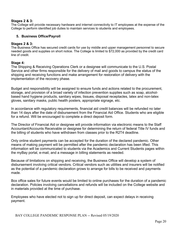#### **Stages 2 & 3:**

The College will provide necessary hardware and internet connectivity to IT employees at the expense of the College to perform identified job duties to maintain services to students and employees.

#### <span id="page-19-0"></span>**5. Business Office/Payroll**

#### **Stages 2 & 3:**

The Business Office has secured credit cards for use by middle and upper management personnel to secure needed goods and supplies on short notice. The College is limited to \$72,000 as provided by the credit card line of credit.

#### **Stage 4:**

The Shipping & Receiving Operations Clerk or a designee will communicate to the U.S. Postal Service and other firms responsible for the delivery of mail and goods to campus the status of the shipping and receiving functions and make arrangement for restoration of delivery with the implementation of the recovery phase.

Budget and responsibility will be assigned to ensure funds and actions related to the procurement, storage, and provision of a broad variety of infection prevention supplies such as soap, alcoholbased hand hygiene products, sanitary wipes, tissues, disposal receptacles, latex and non-latex gloves, sanitary masks, public health posters, appropriate signage, etc.

In accordance with regulatory requirements, financial aid credit balances will be refunded no later than 14 days after the date of disbursement from the Financial Aid Office. Students who are eligible for a refund. Will be encouraged to complete a direct deposit form.

The Director of Financial Aid or designee will provide information via electronic means to the Staff Accountant/Accounts Receivable or designee for determining the return of federal Title IV funds and the billing of students who have withdrawn from classes prior to the R2T4 deadline.

Only online student payments can be accepted for the duration of the declared pandemic. Other means of making payment will be permitted after the pandemic declaration has been lifted. This information will be communicated to students via the Academics and Current Students pages within the myBay portal, e-mail, and a message in billing statements as needed.

Because of limitations on shipping and receiving, the Business Office will develop a system of disbursement involving critical vendors. Critical vendors such as utilities and insurers will be notified as the potential of a pandemic declaration grows to arrange for bills to be received and payments made.

Box office sales for future events would be limited to online purchases for the duration of a pandemic declaration. Policies involving cancellations and refunds will be included on the College website and in materials provided at the time of purchase.

Employees who have elected not to sign up for direct deposit, can expect delays in receiving payment.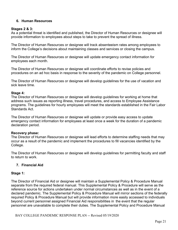## <span id="page-20-0"></span>**6. Human Resources**

#### **Stages 2 & 3:**

As a potential threat is identified and published, the Director of Human Resources or designee will provide information to employees about steps to take to prevent the spread of illness.

The Director of Human Resources or designee will track absenteeism rates among employees to inform the College's decisions about maintaining classes and services or closing the campus.

The Director of Human Resources or designee will update emergency contact information for employees each month.

The Director of Human Resources or designee will coordinate efforts to revise policies and procedures on an ad hoc basis in response to the severity of the pandemic on College personnel.

The Director of Human Resources or designee will develop guidelines for the use of vacation and sick leave time.

#### **Stage 4:**

The Director of Human Resources or designee will develop guidelines for working at home that address such issues as reporting illness, travel procedures, and access to Employee Assistance programs. The guidelines for hourly employees will meet the standards established in the Fair Labor Standards Act.

The Director of Human Resources or designee will update or provide easy access to update emergency contact information for employees at least once a week for the duration of a pandemic declaration period.

#### **Recovery phase:**

The Director of Human Resources or designee will lead efforts to determine staffing needs that may occur as a result of the pandemic and implement the procedures to fill vacancies identified by the College.

The Director of Human Resources or designee will develop guidelines for permitting faculty and staff to return to work.

#### <span id="page-20-1"></span>**7. Financial Aid**

#### **Stage 1:**

The Director of Financial Aid or designee will maintain a Supplemental Policy & Procedure Manual separate from the required federal manual. This Supplemental Policy & Procedure will serve as the reference source for actions undertaken under normal circumstances as well as in the event of a declared pandemic. The Supplemental Policy & Procedure Manual will mirror sections of the federally required Policy & Procedure Manual but will provide information more easily accessed to individuals beyond current personnel assigned Financial Aid responsibilities in the event that the regular personnel are unavailable to complete their duties. The Supplemental Policy and Procedure Manual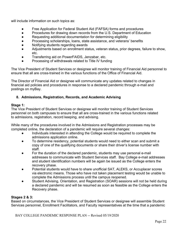will include information on such topics as:

- Free Application for Federal Student Aid (FAFSA) forms and procedures
- Procedures for drawing down records from the U.S. Department of Education
- Requesting additional documentation for determining eligibility
- Processing scholarships, loans, state assistance, and veterans' benefits
- Notifying students regarding awards
- Adjustments based on enrollment status, veteran status, prior degrees, failure to show, etc.
- Transferring aid on PowerFAIDS, Jenzabar, etc.
- Processing of withdrawals related to Title IV funding

The Vice President of Student Services or designee will monitor training of Financial Aid personnel to ensure that all are cross-trained in the various functions of the Office of Financial Aid.

The Director of Financial Aid or designee will communicate any updates related to changes in financial aid policies and procedures in response to a declared pandemic through e-mail and postings on myBay.

# <span id="page-21-0"></span>**8. Admissions, Registration, Records, and Academic Advising**

#### **Stage 1:**

The Vice President of Student Services or designee will monitor training of Student Services personnel on both campuses to ensure that all are cross-trained in the various functions related to admissions, registration, record keeping, and advising.

While many of the procedures involved in the Admissions and Registration processes may be completed online, the declaration of a pandemic will require several changes:

- Individuals interested in attending the College would be required to complete the admissions application online.
- To determine residency, potential students would need to either scan and submit a copy of one of the qualifying documents or share their driver's license number with staff.
- For the duration of the declared pandemic, students may use personal e-mail addresses to communicate with Student Services staff. Bay College e-mail addresses and student identification numbers will be again be issued as the College enters the recovery phase.
- Potential students would have to share unofficial SAT, ALEKS, or Accuplacer scores via electronic means. Those who have not taken placement testing would be unable to complete the Admissions process until the campus reopened.
- Student Advising, Orientation, and Registration (SOAR) sessions will not be held during a declared pandemic and will be resumed as soon as feasible as the College enters the Recovery phase.

#### **Stages 2 & 3:**

Based on circumstances, the Vice President of Student Services or designee will assemble Student Services personnel, Enrollment Facilitators, and Faculty representatives at the time that a pandemic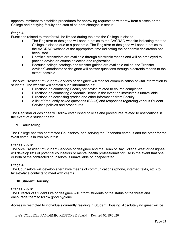appears imminent to establish procedures for approving requests to withdraw from classes or the College and notifying faculty and staff of student changes in status.

## **Stage 4:**

Functions related to transfer will be limited during the time the College is closed:

- The Registrar or designee will send a notice to the AACRAO website indicating that the College is closed due to a pandemic. The Registrar or designee will send a notice to the AACRAO website at the appropriate time indicating the pandemic declaration has been lifted.
- Unofficial transcripts are available through electronic means and will be employed to provide advice on course selection and registration.
- Because college catalogs and transfer guides are available online, the Transfer Advisor/Coordinator or designee will answer questions through electronic means to the extent possible.

The Vice President of Student Services or designee will monitor communication of vital information to students. The website will contain such information as:

- Directions on contacting Faculty for advice related to course completion.
- Directions on contacting Academic Deans in the event an instructor is unavailable.
- Directions on accessing grades and other information from Faculty.
- A list of frequently-asked questions (FAQs) and responses regarding various Student Services policies and procedures.

The Registrar or designee will follow established policies and procedures related to notifications in the event of a student death.

#### <span id="page-22-0"></span>**9. Counseling**

The College has two contracted Counselors, one serving the Escanaba campus and the other for the West campus in Iron Mountain.

#### **Stages 2 & 3:**

The Vice President of Student Services or designee and the Dean of Bay College West or designee will develop lists of potential counselors or mental health professionals for use in the event that one or both of the contracted counselors is unavailable or incapacitated.

#### **Stage 4:**

The Counselors will develop alternative means of communications (phone, internet, texts, etc.) to face-to-face contacts to meet with clients.

#### <span id="page-22-1"></span>**10.Student Housing**

#### **Stages 2 & 3:**

The Director of Student Life or designee will Inform students of the status of the threat and encourage them to follow good hygiene.

Access is restricted to individuals currently residing in Student Housing. Absolutely no guest will be

BAY COLLEGE PANDEMIC RESPONSE PLAN -- Revised 05/19/2020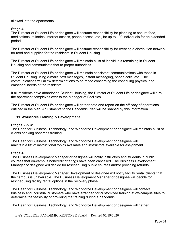allowed into the apartments.

## **Stage 4:**

The Director of Student Life or designee will assume responsibility for planning to secure food, medications, toiletries, internet access, phone access, etc., for up to 100 individuals for an extended period.

The Director of Student Life or designee will assume responsibility for creating a distribution network for food and supplies for the residents in Student Housing.

The Director of Student Life or designee will maintain a list of individuals remaining in Student Housing and communicate that to proper authorities.

The Director of Student Life or designee will maintain consistent communications with those in Student Housing using e-mails, text messages, instant messaging, phone calls, etc. The communications will allow determinations to be made concerning the continuing physical and emotional needs of the residents.

If all residents have abandoned Student Housing, the Director of Student Life or designee will turn the apartment complexes over to the Manager of Facilities.

The Director of Student Life or designee will gather data and report on the efficacy of operations outlined in the plan. Adjustments to the Pandemic Plan will be shaped by this information.

#### <span id="page-23-0"></span>**11.Workforce Training & Development**

#### **Stages 2 & 3:**

The Dean for Business, Technology, and Workforce Development or designee will maintain a list of clients seeking noncredit training.

The Dean for Business, Technology, and Workforce Development or designee will maintain a list of instructional topics available and instructors available for assignment.

#### **Stage 4:**

The Business Development Manager or designee will notify instructors and students in public courses that on-campus noncredit offerings have been cancelled. The Business Development Manager or designee will decide for rescheduling public courses and/or providing refunds.

The Business Development Manager Development or designee will notify facility rental clients that the campus is unavailable. The Business Development Manager or designee will decide for rescheduling facility rental options in the recovery phase.

The Dean for Business, Technology, and Workforce Development or designee will contact business and industrial customers who have arranged for customized training at off-campus sites to determine the feasibility of providing the training during a pandemic.

The Dean for Business, Technology, and Workforce Development or designee will gather

BAY COLLEGE PANDEMIC RESPONSE PLAN -- Revised 05/19/2020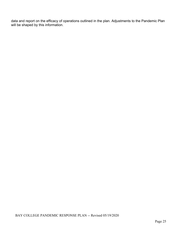data and report on the efficacy of operations outlined in the plan. Adjustments to the Pandemic Plan will be shaped by this information.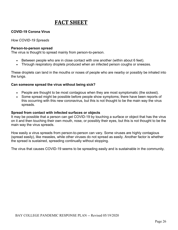# **FACT SHEET**

#### <span id="page-25-1"></span><span id="page-25-0"></span>**COVID-19 Corona Virus**

#### <span id="page-25-2"></span>*How COVID-19 Spreads*

#### **Person-to-person spread**

The virus is thought to spread mainly from person-to-person.

- Between people who are in close contact with one another (within about 6 feet).
- Through respiratory droplets produced when an infected person coughs or sneezes.

These droplets can land in the mouths or noses of people who are nearby or possibly be inhaled into the lungs.

#### **Can someone spread the virus without being sick?**

- People are thought to be most contagious when they are most symptomatic (the sickest).
- Some spread might be possible before people show symptoms; there have been reports of this occurring with this new coronavirus, but this is not thought to be the main way the virus spreads.

#### **Spread from contact with infected surfaces or objects**

It may be possible that a person can get COVID-19 by touching a surface or object that has the virus on it and then touching their own mouth, nose, or possibly their eyes, but this is not thought to be the main way the virus spreads.

How easily a virus spreads from person-to-person can vary. Some viruses are highly contagious (spread easily), like measles, while other viruses do not spread as easily. Another factor is whether the spread is sustained, spreading continually without stopping.

The virus that causes COVID-19 seems to be spreading easily and is sustainable in the community.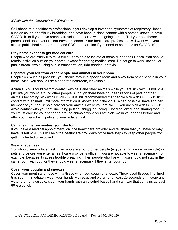#### <span id="page-26-0"></span>*If Sick with the Coronavirus (COVID-19)*

Call ahead to a healthcare professional if you develop a fever and symptoms of respiratory illness, such as cough or difficulty breathing, and have been in close contact with a person known to have COVID-19 or if you have recently traveled to an area with ongoing spread. Tell your healthcare professional about your recent travel or contact. Your healthcare professional will work with your state's public health department and CDC to determine if you need to be tested for COVID-19.

#### **Stay home except to get medical care**

People who are mildly ill with COVID-19 are able to isolate at home during their illness. You should restrict activities outside your home, except for getting medical care. Do not go to work, school, or public areas. Avoid using public transportation, ride-sharing, or taxis.

#### **Separate yourself from other people and animals in your home**

People: As much as possible, you should stay in a specific room and away from other people in your home. Also, you should use a separate bathroom, if available.

Animals: You should restrict contact with pets and other animals while you are sick with COVID-19, just like you would around other people. Although there have not been reports of pets or other animals becoming sick with COVID-19, it is still recommended that people sick with COVID-19 limit contact with animals until more information is known about the virus. When possible, have another member of your household care for your animals while you are sick. If you are sick with COVID-19, avoid contact with your pet, including petting, snuggling, being kissed or licked, and sharing food. If you must care for your pet or be around animals while you are sick, wash your hands before and after you interact with pets and wear a facemask.

#### **Call ahead before visiting your doctor**

If you have a medical appointment, call the healthcare provider and tell them that you have or may have COVID-19. This will help the healthcare provider's office take steps to keep other people from getting infected or exposed.

#### **Wear a facemask**

You should wear a facemask when you are around other people (e.g., sharing a room or vehicle) or pets and before you enter a healthcare provider's office. If you are not able to wear a facemask (for example, because it causes trouble breathing), then people who live with you should not stay in the same room with you, or they should wear a facemask if they enter your room.

#### **Cover your coughs and sneezes**

Cover your mouth and nose with a tissue when you cough or sneeze. Throw used tissues in a lined trash can. Immediately wash your hands with soap and water for at least 20 seconds or, if soap and water are not available, clean your hands with an alcohol-based hand sanitizer that contains at least 60% alcohol.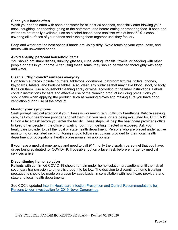#### **Clean your hands often**

Wash your hands often with soap and water for at least 20 seconds, especially after blowing your nose, coughing, or sneezing; going to the bathroom; and before eating or preparing food. If soap and water are not readily available, use an alcohol-based hand sanitizer with at least 60% alcohol, covering all surfaces of your hands and rubbing them together until they feel dry.

Soap and water are the best option if hands are visibly dirty. Avoid touching your eyes, nose, and mouth with unwashed hands

#### **Avoid sharing personal household items**

You should not share dishes, drinking glasses, cups, eating utensils, towels, or bedding with other people or pets in your home. After using these items, they should be washed thoroughly with soap and water.

#### **Clean all "high-touch" surfaces everyday**

High touch surfaces include counters, tabletops, doorknobs, bathroom fixtures, toilets, phones, keyboards, tablets, and bedside tables. Also, clean any surfaces that may have blood, stool, or body fluids on them. Use a household cleaning spray or wipe, according to the label instructions. Labels contain instructions for safe and effective use of the cleaning product including precautions you should take when applying the product, such as wearing gloves and making sure you have good ventilation during use of the product.

#### **Monitor your symptoms**

Seek prompt medical attention if your illness is worsening (e.g., difficulty breathing). **Before** seeking care, call your healthcare provider and tell them that you have, or are being evaluated for, COVID-19. Put on a facemask before you enter the facility. These steps will help the healthcare provider's office to keep other people in the office or waiting room from getting infected or exposed. Ask your healthcare provider to call the local or state health department. Persons who are placed under active monitoring or facilitated self-monitoring should follow instructions provided by their local health department or occupational health professionals, as appropriate.

If you have a medical emergency and need to call 911, notify the dispatch personnel that you have, or are being evaluated for COVID-19. If possible, put on a facemask before emergency medical services arrive.

#### **Discontinuing home isolation**

Patients with confirmed COVID-19 should remain under home isolation precautions until the risk of secondary transmission to others is thought to be low. The decision to discontinue home isolation precautions should be made on a case-by-case basis, in consultation with healthcare providers and state and local health departments.

See CDC's updated [Interim Healthcare Infection Prevention and Control Recommendations for](https://www.cdc.gov/coronavirus/2019-ncov/infection-control.html)  [Persons Under Investigation for 2019 Novel Coronavirus.](https://www.cdc.gov/coronavirus/2019-ncov/infection-control.html)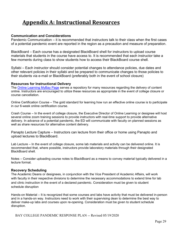# <span id="page-28-0"></span>**Appendix A: Instructional Resources**

#### <span id="page-28-1"></span>**Communication and Considerations**

Pandemic Communication – it is recommended that instructors talk to their class when the first cases of a potential pandemic event are reported in the region as a precaution and measure of preparation.

BlackBoard – Each course has a designated BlackBoard shell for instructors to upload course materials that students in the course have access to. It is recommended that each instructor take a few moments during class to show students how to access their BlackBoard course shell.

Syllabi – Each instructor should consider potential changes to attendance policies, due dates and other relevant policies in their syllabi and be prepared to communicate changes to those policies to their students via e-mail or BlackBoard (preferably both in the event of school closure)

#### <span id="page-28-2"></span>**Resources for Instructional Delivery**

The [Online Learning MyBay Page](https://mybay.baycollege.edu/ICS/Departments/Online_Learning/Course_Development_and_Other_Documentation.jnz) serves a repository for many resources regarding the delivery of content online. Instructors are encouraged to utilize these resources as appropriate in the event of college closure or course cancellation.

Online Certification Course – The gold standard for learning how run an effective online course is to participate in our 6-week online certification course.

Crash Course – In the event of college closure, the Executive Director of Online Learning or designee will host several online zoom training sessions to provide instructors with real-time support to provide alternative delivery. In advance of a potential pandemic, the ED will communicate with faculty on planned sessions as well as share resources for alternative content delivery.

Panapto Lecture Capture – Instructors can lecture from their office or home using Panapto and upload lectures to BlackBoard.

Lab Lecture – In the event of college closure, some lab materials and activity can be delivered online. It is recommended that, where possible, instructors provide laboratory materials through their designated BlackBoard shell.

Notes – Consider uploading course notes to BlackBoard as a means to convey material typically delivered in a lecture format.

#### <span id="page-28-3"></span>**Recovery Scheduling**

The Academic Deans or designees, in conjunction with the Vice President of Academic Affairs, will work with faculty in their respective divisions to determine the necessary accommodations to extend time for lab and clinic instruction in the event of a declared pandemic. Consideration must be given to student schedule disruption

Hands-on Material – It is recognized that some courses and labs have activity that must be delivered in-person and in a hands-on way. Instructors need to work with their supervising dean to determine the best way to deliver make-up labs and courses upon re-opening. Consideration must be given to student schedule disruption.